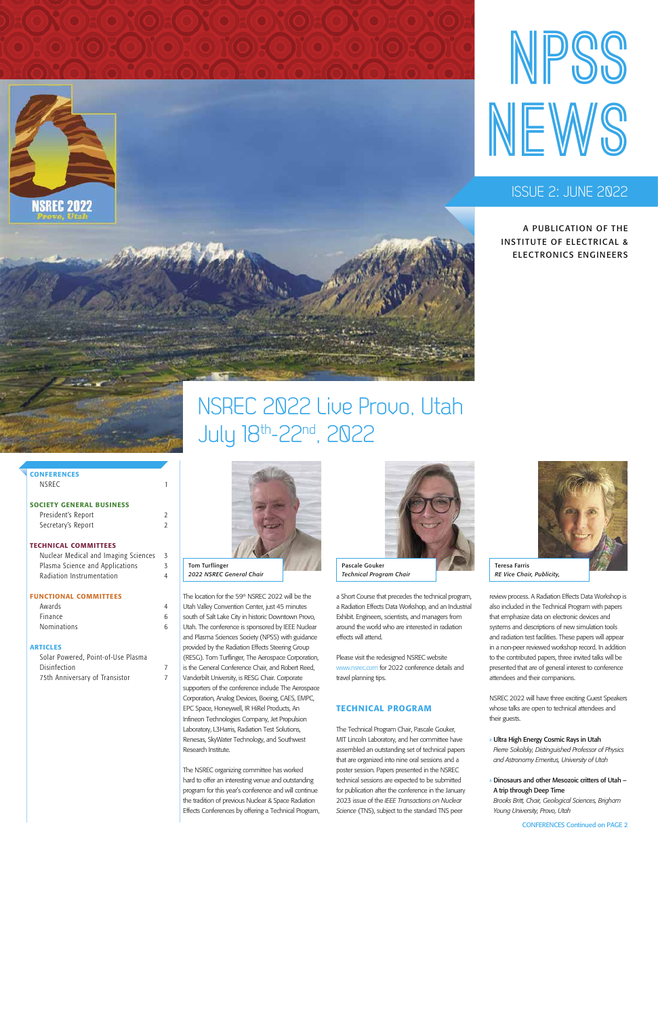



# **ISSUE 2: JUNE 2022**

#### **CONFERENCES** NSREC 1

A PUBLICATION OF THE INSTITUTE OF ELECTRICAL & ELECTRONICS ENGINEERS

# SOCIETY GENERAL BUSINESS

| President's Report |  |
|--------------------|--|
| Secretary's Report |  |

| Awards             |   |
|--------------------|---|
| <b>Finance</b>     | հ |
| <b>Nominations</b> | հ |

# TECHNICAL COMMITTEES

| Nuclear Medical and Imaging Sciences | 3 |
|--------------------------------------|---|
| Plasma Science and Applications      | 3 |
| Radiation Instrumentation            | 4 |

## FUNCTIONAL COMMITTEES

### ARTICLES

| Solar Powered, Point-of-Use Plasma |  |
|------------------------------------|--|
| Disinfection                       |  |
| 75th Anniversary of Transistor     |  |

# NSREC 2022 Live Provo, Utah July 18th-22nd, 2022

The location for the 59th NSREC 2022 will be the Utah Valley Convention Center, just 45 minutes south of Salt Lake City in historic Downtown Provo, Utah. The conference is sponsored by IEEE Nuclear and Plasma Sciences Society (NPSS) with guidance provided by the Radiation Effects Steering Group (RESG). Tom Turflinger, The Aerospace Corporation, is the General Conference Chair, and Robert Reed, Vanderbilt University, is RESG Chair. Corporate supporters of the conference include The Aerospace Corporation, Analog Devices, Boeing, CAES, EMPC, EPC Space, Honeywell, IR HiRel Products, An Infineon Technologies Company, Jet Propulsion Laboratory, L3Harris, Radiation Test Solutions, Renesas, SkyWater Technology, and Southwest

Research Institute.

The NSREC organizing committee has worked hard to offer an interesting venue and outstanding program for this year's conference and will continue the tradition of previous Nuclear & Space Radiation Effects Conferences by offering a Technical Program, a Short Course that precedes the technical program, a Radiation Effects Data Workshop, and an Industrial Exhibit. Engineers, scientists, and managers from around the world who are interested in radiation effects will attend.

Please visit the redesigned NSREC website www.nsrec.com for 2022 conference details and travel planning tips.

### TECHNICAL PROGRAM

The Technical Program Chair, Pascale Gouker, MIT Lincoln Laboratory, and her committee have assembled an outstanding set of technical papers that are organized into nine oral sessions and a poster session. Papers presented in the NSREC technical sessions are expected to be submitted for publication after the conference in the January 2023 issue of the *IEEE Transactions on Nuclear Science* (TNS), subject to the standard TNS peer

review process. A Radiation Effects Data Workshop is also included in the Technical Program with papers that emphasize data on electronic devices and systems and descriptions of new simulation tools and radiation test facilities. These papers will appear in a non-peer reviewed workshop record. In addition to the contributed papers, three invited talks will be presented that are of general interest to conference attendees and their companions.

NSREC 2022 will have three exciting Guest Speakers whose talks are open to technical attendees and their guests.

» Ultra High Energy Cosmic Rays in Utah

*Pierre Sokolsky, Distinguished Professor of Physics and Astronomy Emeritus, University of Utah*

» Dinosaurs and other Mesozoic critters of Utah – A trip through Deep Time *Brooks Britt, Chair, Geological Sciences, Brigham Young University, Provo, Utah*

CONFERENCES Continued on PAGE 2





Teresa Farris *RE Vice Chair, Publicity,* 



*Technical Program Chair*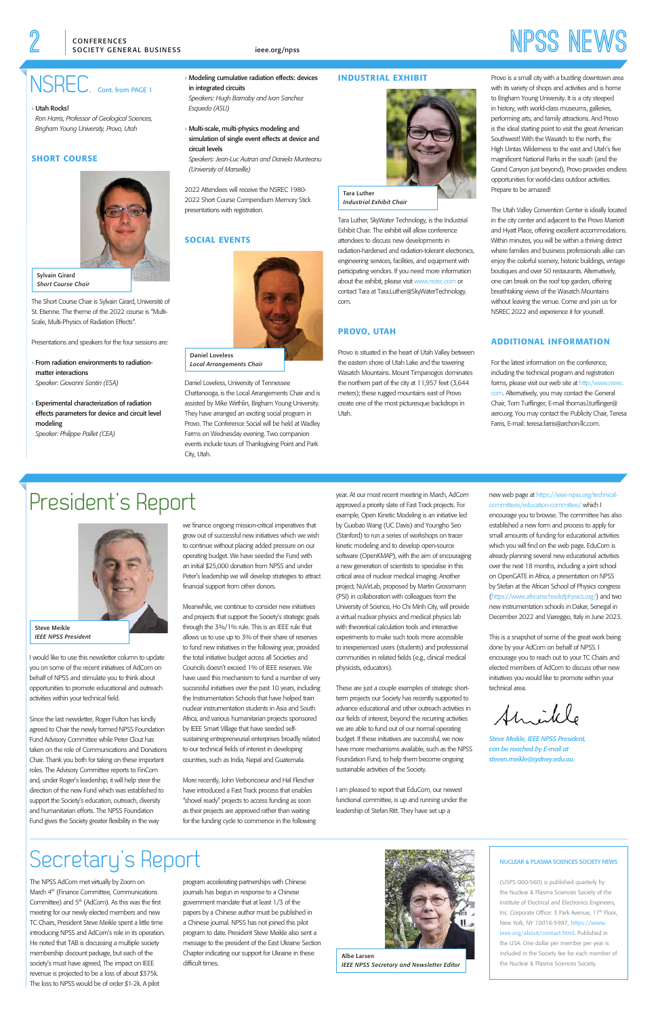# CONFERENCES **Interpretion CONFERENCES**

# NSREC. Cont. from PAGE 1

#### NUCLEAR & PLASMA SCIENCES SOCIETY NEWS

(USPS 000-560) is published quarterly by the Nuclear & Plasma Sciences Society of the Institute of Electrical and Electronics Engineers, Inc. Corporate Office: 3 Park Avenue, 17th Floor, New York, NY 10016-5997, [https://www.](https://www.ieee.org/about/contact.html) [ieee.org/about/contact.html](https://www.ieee.org/about/contact.html). Published in the USA. One dollar per member per year is included in the Society fee for each member of the Nuclear & Plasma Sciences Society.

» Utah Rocks!

*Ron Harris, Professor of Geological Sciences, Brigham Young University, Provo, Utah*

# SHORT COURSE

The Short Course Chair is Sylvain Girard, Université of St. Etienne. The theme of the 2022 course is "Multi-Scale, Multi-Physics of Radiation Effects".

Presentations and speakers for the four sessions are:

- » From radiation environments to radiationmatter interactions *Speaker: Giovanni Santin (ESA)*
- » Experimental characterization of radiation effects parameters for device and circuit level modeling

*Speaker: Philippe Paillet (CEA)*

#### » Modeling cumulative radiation effects: devices in integrated circuits *Speakers: Hugh Barnaby and Ivan Sanchez Esqueda (ASU)*

» Multi-scale, multi-physics modeling and simulation of single event effects at device and circuit levels *Speakers: Jean-Luc Autran and Daniela Munteanu* 

*(University of Marseille)*

2022 Attendees will receive the NSREC 1980- 2022 Short Course Compendium Memory Stick presentations with registration.

# SOCIAL EVENTS

Daniel Loveless, University of Tennessee Chattanooga, is the Local Arrangements Chair and is assisted by Mike Wirthlin, Brigham Young University. They have arranged an exciting social program in Provo. The Conference Social will be held at Wadley Farms on Wednesday evening. Two companion events include tours of Thanksgiving Point and Park City, Utah.

#### INDUSTRIAL EXHIBIT

Tara Luther, SkyWater Technology, is the Industrial Exhibit Chair. The exhibit will allow conference attendees to discuss new developments in radiation-hardened and radiation-tolerant electronics, engineering services, facilities, and equipment with participating vendors. If you need more information about the exhibit, please visit www.nsrec.com or contact Tara at Tara.Luther@SkyWaterTechnology. com.

# PROVO, UTAH

Provo is situated in the heart of Utah Valley between the eastern shore of Utah Lake and the towering Wasatch Mountains. Mount Timpanogos dominates the northern part of the city at 11,957 feet (3,644 meters); these rugged mountains east of Provo create one of the most picturesque backdrops in Utah.

Provo is a small city with a bustling downtown area with its variety of shops and activities and is home to Brigham Young University. It is a city steeped in history, with world-class museums, galleries, performing arts, and family attractions. And Provo is the ideal starting point to visit the great American Southwest! With the Wasatch to the north, the High Uintas Wilderness to the east and Utah's five magnificent National Parks in the south (and the Grand Canyon just beyond), Provo provides endless opportunities for world-class outdoor activities. Prepare to be amazed!

The Utah Valley Convention Center is ideally located in the city center and adjacent to the Provo Marriott and Hyatt Place, offering excellent accommodations. Within minutes, you will be within a thriving district where families and business professionals alike can enjoy the colorful scenery, historic buildings, vintage boutiques and over 50 restaurants. Alternatively, one can break on the roof top garden, offering breathtaking views of the Wasatch Mountains without leaving the venue. Come and join us for NSREC 2022 and experience it for yourself.

# ADDITIONAL INFORMATION

For the latest information on the conference, including the technical program and registration [forms, please visit our web site at http:/www.nsrec.](http:/www.nsrec.com) com. Alternatively, you may contact the General Chair, Tom Turflinger, E-mail thomas.l.turflinger@ aero.org. You may contact the Publicity Chair, Teresa Farris, E-mail: teresa.farris@archon-llc.com.



Sylvain Girard *Short Course Chair* 



*Local Arrangements Chair* 



*Industrial Exhibit Chair* 

# President's Report

I would like to use this newsletter column to update you on some of the recent initiatives of AdCom on behalf of NPSS and stimulate you to think about opportunities to promote educational and outreach activities within your technical field.

Since the last newsletter, Roger Fulton has kindly agreed to Chair the newly formed NPSS Foundation Fund Advisory Committee while Peter Clout has taken on the role of Communications and Donations Chair. Thank you both for taking on these important roles. The Advisory Committee reports to FinCom and, under Roger's leadership, it will help steer the direction of the new Fund which was established to support the Society's education, outreach, diversity and humanitarian efforts. The NPSS Foundation Fund gives the Society greater flexibility in the way

we finance ongoing mission-critical imperatives that grow out of successful new initiatives which we wish to continue without placing added pressure on our operating budget. We have seeded the Fund with an initial \$25,000 donation from NPSS and under Peter's leadership we will develop strategies to attract financial support from other donors.

Meanwhile, we continue to consider new initiatives and projects that support the Society's strategic goals through the 3%/1% rule. This is an IEEE rule that allows us to use up to 3% of their share of reserves to fund new initiatives in the following year, provided the total initiative budget across all Societies and Councils doesn't exceed 1% of IEEE reserves. We have used this mechanism to fund a number of very successful initiatives over the past 10 years, including the Instrumentation Schools that have helped train nuclear instrumentation students in Asia and South Africa, and various humanitarian projects sponsored by IEEE Smart Village that have seeded self-

sustaining entrepreneurial enterprises broadly related to our technical fields of interest in developing countries, such as India, Nepal and Guatemala.

More recently, John Verboncoeur and Hal Flescher have introduced a Fast Track process that enables "shovel ready" projects to access funding as soon as their projects are approved rather than waiting for the funding cycle to commence in the following year. At our most recent meeting in March, AdCom approved a priority slate of Fast Track projects. For example, Open Kinetic Modeling is an initiative led by Guobao Wang (UC Davis) and Youngho Seo (Stanford) to run a series of workshops on tracer kinetic modeling and to develop open-source software (OpenKMAP), with the aim of encouraging a new generation of scientists to specialise in this critical area of nuclear medical imaging. Another project, NuVirLab, proposed by Martin Grossmann (PSI) in collaboration with colleagues from the University of Science, Ho Chi Minh City, will provide a virtual nuclear physics and medical physics lab with theoretical calculation tools and interactive experiments to make such tools more accessible to inexperienced users (students) and professional communities in related fields (e.g., clinical medical physicists, educators).

These are just a couple examples of strategic shortterm projects our Society has recently supported to advance educational and other outreach activities in our fields of interest, beyond the recurring activities we are able to fund out of our normal operating budget. If these initiatives are successful, we now have more mechanisms available, such as the NPSS Foundation Fund, to help them become ongoing sustainable activities of the Society.

I am pleased to report that EduCom, our newest functional committee, is up and running under the leadership of Stefan Ritt. They have set up a

### [new web page at https://ieee-npss.org/technical](https://ieee-npss.org/technical-committees/education-committee/)committees/education-committee/ which I encourage you to browse. The committee has also established a new form and process to apply for small amounts of funding for educational activities which you will find on the web page. EduCom is already planning several new educational activities over the next 18 months, including a joint school on OpenGATE in Africa, a presentation on NPSS by Stefan at the African School of Physics congress (https://www.africanschoolofphysics.org/) and two new instrumentation schools in Dakar, Senegal in December 2022 and Viareggio, Italy in June 2023.

This is a snapshot of some of the great work being done by your AdCom on behalf of NPSS. I encourage you to reach out to your TC Chairs and elected members of AdCom to discuss other new initiatives you would like to promote within your technical area.

Shrikle

*Steve Meikle, IEEE NPSS President,* 

*can be reached by E-mail at steven.meikle@sydney.edu.au.*



Steve Meikle *IEEE NPSS President*

The NPSS AdCom met virtually by Zoom on March 4<sup>th</sup> (Finance Committee, Communications Committee) and  $5<sup>th</sup>$  (AdCom). As this was the first meeting for our newly elected members and new TC Chairs, President Steve Meikle spent a little time introducing NPSS and AdCom's role in its operation. He noted that TAB is discussing a multiple society membership discount package, but each of the society's must have agreed, The impact on IEEE revenue is projected to be a loss of about \$375k. The loss to NPSS would be of order \$1-2k. A pilot

program accelerating partnerships with Chinese journals has begun in response to a Chinese government mandate that at least 1/3 of the papers by a Chinese author must be published in a Chinese journal. NPSS has not joined this pilot program to date. President Steve Meikle also sent a message to the president of the East Ukraine Section Chapter indicating our support for Ukraine in these difficult times.



Albe Larsen *IEEE NPSS Secretary and Newsletter Editor*

# Secretary's Report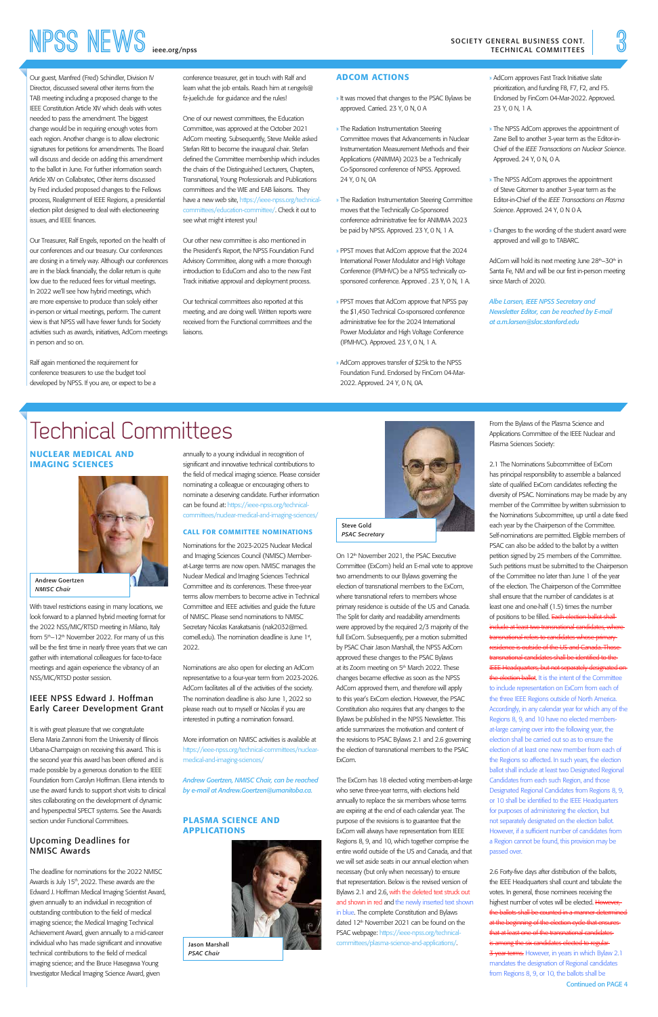Our guest, Manfred (Fred) Schindler, Division IV Director, discussed several other items from the TAB meeting including a proposed change to the IEEE Constitution Article XIV which deals with votes needed to pass the amendment. The biggest change would be in requiring enough votes from each region. Another change is to allow electronic signatures for petitions for amendments. The Board will discuss and decide on adding this amendment to the ballot in June. For further information search Article XIV on Collabratec, Other items discussed by Fred included proposed changes to the Fellows process, Realignment of IEEE Regions, a presidential election pilot designed to deal with electioneering issues, and IEEE finances.

Our Treasurer, Ralf Engels, reported on the health of our conferences and our treasury. Our conferences are closing in a timely way. Although our conferences are in the black financially, the dollar return is quite low due to the reduced fees for virtual meetings. In 2022 we'll see how hybrid meetings, which are more expensive to produce than solely either in-person or virtual meetings, perform. The current view is that NPSS will have fewer funds for Society activities such as awards, initiatives, AdCom meetings in person and so on.

Ralf again mentioned the requirement for conference treasurers to use the budget tool developed by NPSS. If you are, or expect to be a conference treasurer, get in touch with Ralf and learn what the job entails. Reach him at r.engels@ fz-juelich.de for guidance and the rules!

One of our newest committees, the Education Committee, was approved at the October 2021 AdCom meeting. Subsequently, Steve Meikle asked Stefan Ritt to become the inaugural chair. Stefan defined the Committee membership which includes the chairs of the Distinguished Lecturers, Chapters, Transnational, Young Professionals and Publications committees and the WIE and EAB liaisons. They [have a new web site, https://ieee-npss.org/technical](https://ieee-npss.org/technical-committees/education-committee/)committees/education-committee/. Check it out to see what might interest you!

Our other new committee is also mentioned in the President's Report, the NPSS Foundation Fund Advisory Committee, along with a more thorough introduction to EduCom and also to the new Fast Track initiative approval and deployment process.

Our technical committees also reported at this meeting, and are doing well. Written reports were received from the Functional committees and the liaisons.

# ADCOM ACTIONS

- » It was moved that changes to the PSAC Bylaws be approved. Carried. 23 Y, 0 N, 0 A
- » The Radiation Instrumentation Steering Committee moves that Advancements in Nuclear Instrumentation Measurement Methods and their Applications (ANIMMA) 2023 be a Technically Co-Sponsored conference of NPSS. Approved. 24 Y, 0 N, 0A
- » The Radiation Instrumentation Steering Committee moves that the Technically Co-Sponsored conference administrative fee for ANIMMA 2023 be paid by NPSS. Approved. 23 Y, 0 N, 1 A.
- » PPST moves that AdCom approve that the 2024 International Power Modulator and High Voltage Conference (IPMHVC) be a NPSS technically cosponsored conference. Approved . 23 Y, 0 N, 1 A.
- » PPST moves that AdCom approve that NPSS pay the \$1,450 Technical Co-sponsored conference administrative fee for the 2024 International Power Modulator and High Voltage Conference (IPMHVC). Approved. 23 Y, 0 N, 1 A.
- » AdCom approves transfer of \$25k to the NPSS Foundation Fund. Endorsed by FinCom 04-Mar-2022. Approved. 24 Y, 0 N, 0A.
- » AdCom approves Fast Track Initiative slate prioritization, and funding F8, F7, F2, and F5. Endorsed by FinCom 04-Mar-2022. Approved. 23 Y, 0 N, 1 A.
- » The NPSS AdCom approves the appointment of Zane Bell to another 3-year term as the Editor-in-Chief of the *IEEE Transactions on Nuclear Science*. Approved. 24 Y, 0 N, 0 A.
- » The NPSS AdCom approves the appointment of Steve Gitomer to another 3-year term as the Editor-in-Chief of the *IEEE Transactions on Plasma Science*. Approved. 24 Y, 0 N 0 A.
- » Changes to the wording of the student award were approved and will go to TABARC.
- AdCom will hold its next meeting June 28<sup>th</sup>–30<sup>th</sup> in Santa Fe, NM and will be our first in-person meeting since March of 2020.

On 12<sup>th</sup> November 2021, the PSAC Executive Committee (ExCom) held an E-mail vote to approve two amendments to our Bylaws governing the election of transnational members to the ExCom, where transnational refers to members whose primary residence is outside of the US and Canada. The Split for clarity and readability amendments were approved by the required 2/3 majority of the full ExCom. Subsequently, per a motion submitted by PSAC Chair Jason Marshall, the NPSS AdCom approved these changes to the PSAC Bylaws at its Zoom meeting on 5<sup>th</sup> March 2022. These changes became effective as soon as the NPSS AdCom approved them, and therefore will apply to this year's ExCom election. However, the PSAC Constitution also requires that any changes to the Bylaws be published in the NPSS Newsletter. This article summarizes the motivation and content of the revisions to PSAC Bylaws 2.1 and 2.6 governing

*Albe Larsen, IEEE NPSS Secretary and Newsletter Editor, can be reached by E-mail at a.m.larsen@slac.stanford.edu*

Technical Committees

### NUCLEAR MEDICAL AND IMAGING SCIENCES



With travel restrictions easing in many locations, we look forward to a planned hybrid meeting format for the 2022 NSS/MIC/RTSD meeting in Milano, Italy from 5<sup>th</sup>–12<sup>th</sup> November 2022. For many of us this will be the first time in nearly three years that we can gather with international colleagues for face-to-face meetings and again experience the vibrancy of an NSS/MIC/RTSD poster session.

# IEEE NPSS Edward J. Hoffman Early Career Development Grant

It is with great pleasure that we congratulate Elena Maria Zannoni from the University of Illinois Urbana-Champaign on receiving this award. This is the second year this award has been offered and is made possible by a generous donation to the IEEE Foundation from Carolyn Hoffman. Elena intends to use the award funds to support short visits to clinical sites collaborating on the development of dynamic and hyperspectral SPECT systems. See the Awards section under Functional Committees.

### Upcoming Deadlines for NMISC Awards

The deadline for nominations for the 2022 NMISC Awards is July 15<sup>th</sup>, 2022. These awards are the Edward J. Hoffman Medical Imaging Scientist Award, given annually to an individual in recognition of outstanding contribution to the field of medical imaging science; the Medical Imaging Technical Achievement Award, given annually to a mid-career individual who has made significant and innovative technical contributions to the field of medical imaging science; and the Bruce Hasegawa Young Investigator Medical Imaging Science Award, given

Continued on PAGE 4 2.6 Forty-five days after distribution of the ballots, the IEEE Headquarters shall count and tabulate the votes. In general, those nominees receiving the highest number of votes will be elected. However, the ballots shall be counted in a manner determined at the beginning of the election cycle that ensures that at least one of the transnational candidates is among the six candidates elected to regular 3-year terms. However, in years in which Bylaw 2.1 mandates the designation of Regional candidates from Regions 8, 9, or 10, the ballots shall be

annually to a young individual in recognition of significant and innovative technical contributions to the field of medical imaging science. Please consider nominating a colleague or encouraging others to nominate a deserving candidate. Further information can be found at: https://ieee-npss.org/technical[committees/nuclear-medical-and-imaging-sciences/](https://ieee-npss.org/technical-committees/nuclear-medical-and-imaging-sciences/)

### CALL FOR COMMITTEE NOMINATIONS

Nominations for the 2023-2025 Nuclear Medical and Imaging Sciences Council (NMISC) Memberat-Large terms are now open. NMISC manages the Nuclear Medical and Imaging Sciences Technical Committee and its conferences. These three-year terms allow members to become active in Technical Committee and IEEE activities and guide the future of NMISC. Please send nominations to NMISC Secretary Nicolas Karakatsanis (nak2032@med. cornell.edu). The nomination deadline is June 1st, 2022.

Nominations are also open for electing an AdCom representative to a four-year term from 2023-2026. AdCom facilitates all of the activities of the society. The nomination deadline is also June 1, 2022 so please reach out to myself or Nicolas if you are interested in putting a nomination forward.

More information on NMISC activities is available at [https://ieee-npss.org/technical-committees/nuclear](https://ieee-npss.org/technical-committees/nuclear-medical-and-imaging-sciences/)medical-and-imaging-sciences/



*Andrew Goertzen, NMISC Chair, can be reached by e-mail at Andrew.Goertzen@umanitoba.ca.*

#### PLASMA SCIENCE AND APPLICATIONS

the election of transnational members to the PSAC ExCom.

The ExCom has 18 elected voting members-at-large who serve three-year terms, with elections held annually to replace the six members whose terms are expiring at the end of each calendar year. The purpose of the revisions is to guarantee that the ExCom will always have representation from IEEE Regions 8, 9, and 10, which together comprise the entire world outside of the US and Canada, and that we will set aside seats in our annual election when necessary (but only when necessary) to ensure that representation. Below is the revised version of Bylaws 2.1 and 2.6, with the deleted text struck out and shown in red and the newly inserted text shown in blue. The complete Constitution and Bylaws dated 12<sup>th</sup> November 2021 can be found on the [PSAC webpage: https://ieee-npss.org/technical](https://ieee-npss.org/technical-committees/plasma-science-and-applications/)committees/plasma-science-and-applications/.

From the Bylaws of the Plasma Science and Applications Committee of the IEEE Nuclear and Plasma Sciences Society:

2.1 The Nominations Subcommittee of ExCom has principal responsibility to assemble a balanced slate of qualified ExCom candidates reflecting the diversity of PSAC. Nominations may be made by any member of the Committee by written submission to the Nominations Subcommittee, up until a date fixed each year by the Chairperson of the Committee. Self-nominations are permitted. Eligible members of PSAC can also be added to the ballot by a written petition signed by 25 members of the Committee. Such petitions must be submitted to the Chairperson of the Committee no later than June 1 of the year of the election. The Chairperson of the Committee shall ensure that the number of candidates is at least one and one-half (1.5) times the number of positions to be filled. Each election ballot shall include at least two transnational candidates, wheretransnational refers to candidates whose primary residence is outside of the US and Canada. Those transnational candidates shall be identified to the IEEE Headquarters, but not separately designated on the election ballot. It is the intent of the Committee to include representation on ExCom from each of the three IEEE Regions outside of North America. Accordingly, in any calendar year for which any of the Regions 8, 9, and 10 have no elected membersat-large carrying over into the following year, the election shall be carried out so as to ensure the election of at least one new member from each of the Regions so affected. In such years, the election ballot shall include at least two Designated Regional Candidates from each such Region, and those Designated Regional Candidates from Regions 8, 9, or 10 shall be identified to the IEEE Headquarters for purposes of administering the election, but not separately designated on the election ballot. However, if a sufficient number of candidates from a Region cannot be found, this provision may be passed over.

Andrew Goertzen *NMISC Chair* 



*PSAC Chair* 

Steve Gold *PSAC Secretary*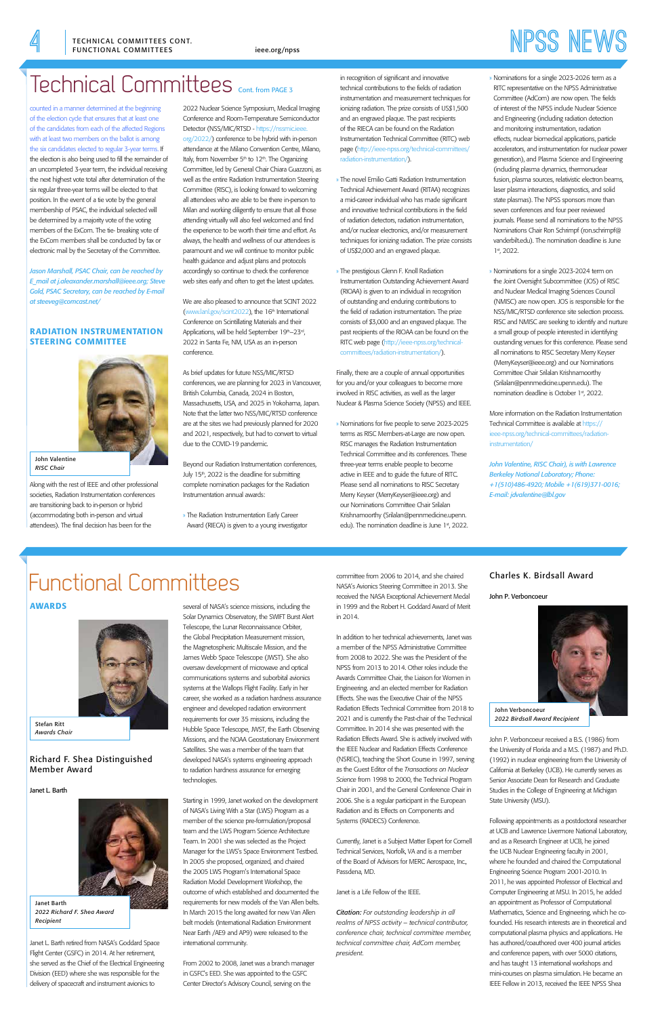# **4** [ieee.org/npss](http://ieee.org/npss) **NPSS News** TECHNICAL COMMITTEES CONT.

counted in a manner determined at the beginning of the election cycle that ensures that at least one of the candidates from each of the affected Regions with at least two members on the ballot is among the six candidates elected to regular 3-year terms. If the election is also being used to fill the remainder of an uncompleted 3-year term, the individual receiving the next highest vote total after determination of the six regular three-year terms will be elected to that position. In the event of a tie vote by the general membership of PSAC, the individual selected will be determined by a majority vote of the voting members of the ExCom. The tie- breaking vote of the ExCom members shall be conducted by fax or electronic mail by the Secretary of the Committee.

*Jason Marshall, PSAC Chair, can be reached by E\_mail at j.aleaxander.marshall@ieee.org; Steve Gold, PSAC Secretary, can be reached by E-mail at steeveg@comcast.net/*

## RADIATION INSTRUMENTATION STEERING COMMITTEE

Along with the rest of IEEE and other professional societies, Radiation Instrumentation conferences are transitioning back to in-person or hybrid (accommodating both in-person and virtual attendees). The final decision has been for the

2022 Nuclear Science Symposium, Medical Imaging Conference and Room-Temperature Semiconductor Detector (NSS/MIC/RTSD - https://nssmic.ieee. [org/2022/\) conference to be hybrid with in-person](https://nssmic.ieee.org/2022/)  attendance at the Milano Convention Centre, Milano, Italy, from November  $5<sup>th</sup>$  to  $12<sup>th</sup>$ . The Organizing Committee, led by General Chair Chiara Guazzoni, as well as the entire Radiation Instrumentation Steering Committee (RISC), is looking forward to welcoming all attendees who are able to be there in-person to Milan and working diligently to ensure that all those attending virtually will also feel welcomed and find the experience to be worth their time and effort. As always, the health and wellness of our attendees is paramount and we will continue to monitor public health guidance and adjust plans and protocols accordingly so continue to check the conference web sites early and often to get the latest updates.

> » Nominations for five people to serve 2023-2025 terms as RISC Members-at-Large are now open. RISC manages the Radiation Instrumentation Technical Committee and its conferences. These three-year terms enable people to become active in IEEE and to guide the future of RITC. Please send all nominations to RISC Secretary Merry Keyser (MerryKeyser@ieee.org) and our Nominations Committee Chair Srilalan Krishnamoorthy (Srilalan@pennmedicine.upenn. edu). The nomination deadline is June 1st, 2022.

We are also pleased to announce that SCINT 2022 (www.lanl.gov/scint2022), the 16<sup>th</sup> International Conference on Scintillating Materials and their Applications, will be held September 19th–23<sup>rd</sup>, 2022 in Santa Fe, NM, USA as an in-person conference.

- » Nominations for a single 2023-2026 term as a RITC representative on the NPSS Administrative Committee (AdCom) are now open. The fields of interest of the NPSS include Nuclear Science and Engineering (including radiation detection and monitoring instrumentation, radiation effects, nuclear biomedical applications, particle accelerators, and instrumentation for nuclear power generation), and Plasma Science and Engineering (including plasma dynamics, thermonuclear fusion, plasma sources, relativistic electron beams, laser plasma interactions, diagnostics, and solid state plasmas). The NPSS sponsors more than seven conferences and four peer reviewed journals. Please send all nominations to the NPSS Nominations Chair Ron Schrimpf (ron.schrimpf@ vanderbilt.edu). The nomination deadline is June 1st, 2022.
- » Nominations for a single 2023-2024 term on the Joint Oversight Subcommittee (JOS) of RISC and Nuclear Medical Imaging Sciences Council (NMISC) are now open. JOS is responsible for the NSS/MIC/RTSD conference site selection process. RISC and NMISC are seeking to identify and nurture a small group of people interested in identifying oustanding venues for this conference. Please send all nominations to RISC Secretary Merry Keyser (MerryKeyser@ieee.org) and our Nominations Committee Chair Srilalan Krishnamoorthy (Srilalan@pennmedicine.upenn.edu). The nomination deadline is October 1st, 2022.

As brief updates for future NSS/MIC/RTSD conferences, we are planning for 2023 in Vancouver, British Columbia, Canada, 2024 in Boston, Massachusetts, USA, and 2025 in Yokohama, Japan. Note that the latter two NSS/MIC/RTSD conference are at the sites we had previously planned for 2020 and 2021, respectively, but had to convert to virtual due to the COVID-19 pandemic.

Beyond our Radiation Instrumentation conferences, July 15<sup>th</sup>, 2022 is the deadline for submitting complete nomination packages for the Radiation Instrumentation annual awards:

» The Radiation Instrumentation Early Career Award (RIECA) is given to a young investigator in recognition of significant and innovative technical contributions to the fields of radiation instrumentation and measurement techniques for ionizing radiation. The prize consists of US\$1,500 and an engraved plaque. The past recipients of the RIECA can be found on the Radiation Instrumentation Technical Committee (RITC) web page (http://ieee-npss.org/technical-committ radiation-instrumentation/).

- » The novel Emilio Gatti Radiation Instrumentation Technical Achievement Award (RITAA) recognizes a mid-career individual who has made significant and innovative technical contributions in the field of radiation detectors, radiation instrumentation, and/or nuclear electronics, and/or measurement techniques for ionizing radiation. The prize consists of US\$2,000 and an engraved plaque.
- » The prestigious Glenn F. Knoll Radiation Instrumentation Outstanding Achievement Award (RIOAA) is given to an individual in recognition of outstanding and enduring contributions to the field of radiation instrumentation. The prize consists of \$3,000 and an engraved plaque. The past recipients of the RIOAA can be found on the [RITC web page \(http://ieee-npss.org/technical](http://ieee-npss.org/technical-committees/radiation-instrumentation/)committees/radiation-instrumentation/).

Finally, there are a couple of annual opportunities for you and/or your colleagues to become more involved in RISC activities, as well as the larger Nuclear & Plasma Science Society (NPSS) and IEEE.

> More information on the Radiation Instrumentation Technical Committee is available at https:// [ieee-npss.org/technical-committees/radiation](https://ieee-npss.org/technical-committees/radiation-instrumentation/)instrumentation/

*John Valentine, RISC Chair), is with Lawrence Berkeley National Laboratory; Phone: +1(510)486-4920; Mobile +1(619)371-0016; E-mail: jdvalentine@lbl.gov*



John Valentine *RISC Chair* 

# Technical Committees Cont. from PAGE 3

# Functional Committees

# AWARDS



# Richard F. Shea Distinguished Member Award

#### Janet L. Barth



Janet L. Barth retired from NASA's Goddard Space Flight Center (GSFC) in 2014. At her retirement, she served as the Chief of the Electrical Engineering Division (EED) where she was responsible for the delivery of spacecraft and instrument avionics to

several of NASA's science missions, including the Solar Dynamics Observatory, the SWIFT Burst Alert Telescope, the Lunar Reconnaissance Orbiter, the Global Precipitation Measurement mission, the Magnetospheric Multiscale Mission, and the James Webb Space Telescope (JWST). She also oversaw development of microwave and optical communications systems and suborbital avionics systems at the Wallops Flight Facility. Early in her career, she worked as a radiation hardness assurance engineer and developed radiation environment requirements for over 35 missions, including the Hubble Space Telescope, JWST, the Earth Observing Missions, and the NOAA Geostationary Environment Satellites. She was a member of the team that developed NASA's systems engineering approach to radiation hardness assurance for emerging technologies.

Starting in 1999, Janet worked on the development of NASA's Living With a Star (LWS) Program as a member of the science pre-formulation/proposal team and the LWS Program Science Architecture Team. In 2001 she was selected as the Project Manager for the LWS's Space Environment Testbed. In 2005 she proposed, organized, and chaired the 2005 LWS Program's International Space Radiation Model Development Workshop, the outcome of which established and documented the requirements for new models of the Van Allen belts. In March 2015 the long awaited for new Van Allen belt models (International Radiation Environment Near Earth /AE9 and AP9) were released to the international community.

From 2002 to 2008, Janet was a branch manager in GSFC's EED. She was appointed to the GSFC Center Director's Advisory Council, serving on the

committee from 2006 to 2014, and she chaired NASA's Avionics Steering Committee in 2013. She received the NASA Exceptional Achievement Medal in 1999 and the Robert H. Goddard Award of Merit in 2014.

In addition to her technical achievements, Janet was a member of the NPSS Administrative Committee from 2008 to 2022. She was the President of the NPSS from 2013 to 2014. Other roles include the Awards Committee Chair, the Liaison for Women in Engineering, and an elected member for Radiation Effects. She was the Executive Chair of the NPSS Radiation Effects Technical Committee from 2018 to 2021 and is currently the Past-chair of the Technical Committee. In 2014 she was presented with the Radiation Effects Award. She is actively involved with the IEEE Nuclear and Radiation Effects Conference (NSREC), teaching the Short Course in 1997, serving as the Guest Editor of the *Transactions on Nuclear Science* from 1998 to 2000, the Technical Program Chair in 2001, and the General Conference Chair in 2006. She is a regular participant in the European Radiation and its Effects on Components and Systems (RADECS) Conference.

Currently, Janet is a Subject Matter Expert for Cornell Technical Services, Norfolk, VA and is a member of the Board of Advisors for MERC Aerospace, Inc., Passdena, MD.

#### Janet is a Life Fellow of the IEEE.

*Citation: For outstanding leadership in all realms of NPSS activity – technical contributor, conference chair, technical committee member, technical committee chair, AdCom member, president.*

# Charles K. Birdsall Award

John P. Verboncoeur

John P. Verboncoeur received a B.S. (1986) from the University of Florida and a M.S. (1987) and Ph.D. (1992) in nuclear engineering from the University of California at Berkeley (UCB). He currently serves as Senior Associate Dean for Research and Graduate Studies in the College of Engineering at Michigan State University (MSU).

Following appointments as a postdoctoral researcher at UCB and Lawrence Livermore National Laboratory, and as a Research Engineer at UCB, he joined the UCB Nuclear Engineering faculty in 2001, where he founded and chaired the Computational Engineering Science Program 2001-2010. In 2011, he was appointed Professor of Electrical and Computer Engineering at MSU. In 2015, he added an appointment as Professor of Computational Mathematics, Science and Engineering, which he cofounded. His research interests are in theoretical and computational plasma physics and applications. He has authored/coauthored over 400 journal articles and conference papers, with over 5000 citations, and has taught 13 international workshops and mini-courses on plasma simulation. He became an IEEE Fellow in 2013, received the IEEE NPSS Shea

Stefan Ritt *Awards Chair* 

Janet Barth *2022 Richard F. Shea Award Recipient* 



John Verboncoeur *2022 Birdsall Award Recipient*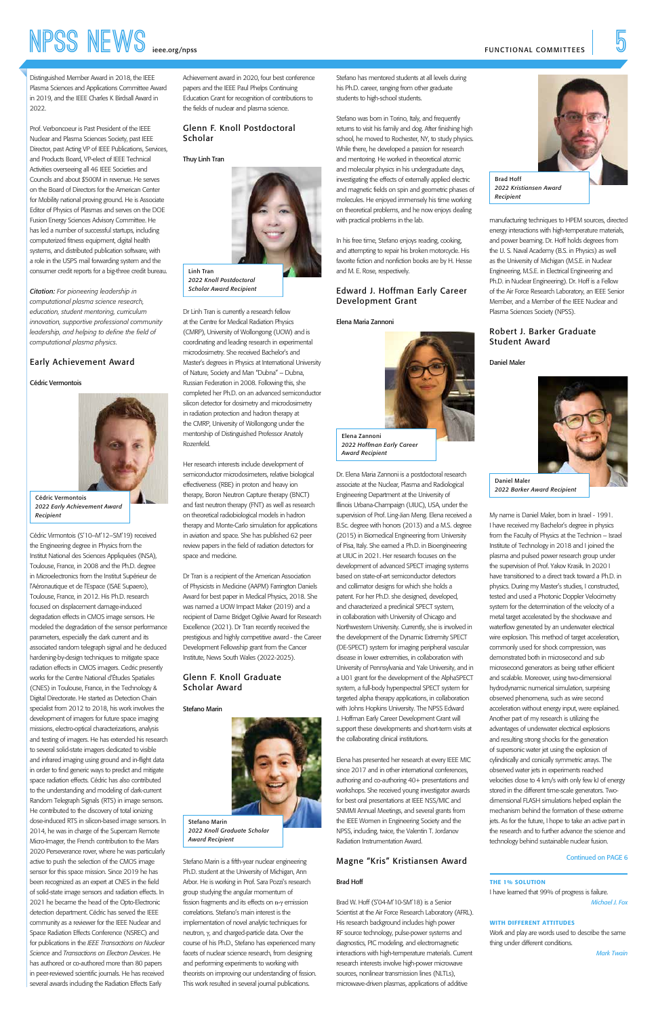#### Continued on PAGE 6

# **NPSS NEWS [ieee.org/npss](http://ieee.org/npss) Seconds** FUNCTIONAL COMMITTEES

Distinguished Member Award in 2018, the IEEE Plasma Sciences and Applications Committee Award in 2019, and the IEEE Charles K Birdsall Award in 2022.

Prof. Verboncoeur is Past President of the IEEE Nuclear and Plasma Sciences Society, past IEEE Director, past Acting VP of IEEE Publications, Services, and Products Board, VP-elect of IEEE Technical Activities overseeing all 46 IEEE Societies and Councils and about \$500M in revenue. He serves on the Board of Directors for the American Center for Mobility national proving ground. He is Associate Editor of Physics of Plasmas and serves on the DOE Fusion Energy Sciences Advisory Committee. He has led a number of successful startups, including computerized fitness equipment, digital health systems, and distributed publication software, with a role in the USPS mail forwarding system and the consumer credit reports for a big-three credit bureau.

*Citation: For pioneering leadership in computational plasma science research, education, student mentoring, curriculum innovation, supportive professional community leadership, and helping to define the field of computational plasma physics.*

#### Early Achievement Award

#### Cédric Vermontois



Cédric Virmontois (S'10–M'12–SM'19) received the Engineering degree in Physics from the Institut National des Sciences Appliquées (INSA), Toulouse, France, in 2008 and the Ph.D. degree in Microelectronics from the Institut Supérieur de l'Aéronautique et de l'Espace (ISAE Supaero), Toulouse, France, in 2012. His Ph.D. research focused on displacement damage-induced degradation effects in CMOS image sensors. He modeled the degradation of the sensor performance parameters, especially the dark current and its associated random telegraph signal and he deduced hardening-by-design techniques to mitigate space radiation effects in CMOS imagers. Cedric presently works for the Centre National d'Études Spatiales (CNES) in Toulouse, France, in the Technology & Digital Directorate. He started as Detection Chain specialist from 2012 to 2018, his work involves the development of imagers for future space imaging missions, electro-optical characterizations, analysis and testing of imagers. He has extended his research to several solid-state imagers dedicated to visible and infrared imaging using ground and in-flight data in order to find generic ways to predict and mitigate space radiation effects. Cédric has also contributed to the understanding and modeling of dark-current Random Telegraph Signals (RTS) in image sensors. He contributed to the discovery of total ionizing dose-induced RTS in silicon-based image sensors. In 2014, he was in charge of the Supercam Remote Micro-Imager, the French contribution to the Mars 2020 Perseverance rover, where he was particularly active to push the selection of the CMOS image sensor for this space mission. Since 2019 he has been recognized as an expert at CNES in the field of solid-state image sensors and radiation effects. In 2021 he became the head of the Opto-Electronic detection department. Cédric has served the IEEE community as a reviewer for the IEEE Nuclear and Space Radiation Effects Conference (NSREC) and for publications in the *IEEE Transactions on Nuclear Science* and *Transactions on Electron Devices*. He has authored or co-authored more than 80 papers in peer-reviewed scientific journals. He has received several awards including the Radiation Effects Early

Achievement award in 2020, four best conference papers and the IEEE Paul Phelps Continuing Education Grant for recognition of contributions to the fields of nuclear and plasma science.

### Glenn F. Knoll Postdoctoral Scholar

Thuy Linh Tran

Dr Linh Tran is currently a research fellow at the Centre for Medical Radiation Physics (CMRP), University of Wollongong (UOW) and is coordinating and leading research in experimental microdosimetry. She received Bachelor's and Master's degrees in Physics at International University of Nature, Society and Man "Dubna" – Dubna, Russian Federation in 2008. Following this, she completed her Ph.D. on an advanced semiconductor silicon detector for dosimetry and microdosimetry in radiation protection and hadron therapy at the CMRP, University of Wollongong under the mentorship of Distinguished Professor Anatoly Rozenfeld.

Her research interests include development of semiconductor microdosimeters, relative biological effectiveness (RBE) in proton and heavy ion therapy, Boron Neutron Capture therapy (BNCT) and fast neutron therapy (FNT) as well as research on theoretical radiobiological models in hadron therapy and Monte-Carlo simulation for applications in aviation and space. She has published 62 peer review papers in the field of radiation detectors for space and medicine.

Dr Tran is a recipient of the American Association of Physicists in Medicine (AAPM) Farrington Daniels Award for best paper in Medical Physics, 2018. She was named a UOW Impact Maker (2019) and a recipient of Dame Bridget Ogilvie Award for Research Excellence (2021). Dr Tran recently received the prestigious and highly competitive award - the Career Development Fellowship grant from the Cancer Institute, News South Wales (2022-2025).

# Glenn F. Knoll Graduate Scholar Award

Stefano Marin



Stefano Marin is a fifth-year nuclear engineering Ph.D. student at the University of Michigan, Ann Arbor. He is working in Prof. Sara Pozzi's research group studying the angular momentum of fission fragments and its effects on n-γ emission correlations. Stefano's main interest is the implementation of novel analytic techniques for neutron, γ, and charged-particle data. Over the course of his Ph.D., Stefano has experienced many facets of nuclear science research, from designing and performing experiments to working with theorists on improving our understanding of fission. This work resulted in several journal publications.

Stefano has mentored students at all levels during his Ph.D. career, ranging from other graduate students to high-school students.

Stefano was born in Torino, Italy, and frequently returns to visit his family and dog. After finishing high school, he moved to Rochester, NY, to study physics. While there, he developed a passion for research and mentoring. He worked in theoretical atomic and molecular physics in his undergraduate days, investigating the effects of externally applied electric and magnetic fields on spin and geometric phases of molecules. He enjoyed immensely his time working on theoretical problems, and he now enjoys dealing with practical problems in the lab.

In his free time, Stefano enjoys reading, cooking, and attempting to repair his broken motorcycle. His favorite fiction and nonfiction books are by H. Hesse and M. E. Rose, respectively.

### Edward J. Hoffman Early Career Development Grant

Elena Maria Zannoni

Dr. Elena Maria Zannoni is a postdoctoral research associate at the Nuclear, Plasma and Radiological Engineering Department at the University of Illinois Urbana-Champaign (UIUC), USA, under the supervision of Prof. Ling-Jian Meng. Elena received a B.Sc. degree with honors (2013) and a M.S. degree (2015) in Biomedical Engineering from University of Pisa, Italy. She earned a Ph.D. in Bioengineering at UIUC in 2021. Her research focuses on the development of advanced SPECT imaging systems based on state-of-art semiconductor detectors and collimator designs for which she holds a patent. For her Ph.D. she designed, developed, and characterized a preclinical SPECT system, in collaboration with University of Chicago and Northwestern University. Currently, she is involved in the development of the Dynamic Extremity SPECT (DE-SPECT) system for imaging peripheral vascular disease in lower extremities, in collaboration with University of Pennsylvania and Yale University, and in a U01 grant for the development of the AlphaSPECT system, a full-body hyperspectral SPECT system for targeted alpha therapy applications, in collaboration with Johns Hopkins University. The NPSS Edward J. Hoffman Early Career Development Grant will support these developments and short-term visits at the collaborating clinical institutions.

Elena has presented her research at every IEEE MIC since 2017 and in other international conferences, authoring and co-authoring 40+ presentations and workshops. She received young investigator awards for best oral presentations at IEEE NSS/MIC and SNMMI Annual Meetings, and several grants from the IEEE Women in Engineering Society and the NPSS, including, twice, the Valentin T. Jordanov Radiation Instrumentation Award.

### Magne "Kris" Kristiansen Award

#### Brad Hoff

Brad W. Hoff (S'04-M'10-SM'18) is a Senior Scientist at the Air Force Research Laboratory (AFRL). His research background includes high power RF source technology, pulse-power systems and diagnostics, PIC modeling, and electromagnetic interactions with high-temperature materials. Current research interests involve high-power microwave sources, nonlinear transmission lines (NLTLs), microwave-driven plasmas, applications of additive

manufacturing techniques to HPEM sources, directed energy interactions with high-temperature materials, and power beaming. Dr. Hoff holds degrees from the U. S. Naval Academy (B.S. in Physics) as well as the University of Michigan (M.S.E. in Nuclear Engineering, M.S.E. in Electrical Engineering and Ph.D. in Nuclear Engineering). Dr. Hoff is a Fellow of the Air Force Research Laboratory, an IEEE Senior Member, and a Member of the IEEE Nuclear and Plasma Sciences Society (NPSS).

### Robert J. Barker Graduate Student Award

Daniel Maler

My name is Daniel Maler, born in Israel - 1991. I have received my Bachelor's degree in physics from the Faculty of Physics at the Technion – Israel Institute of Technology in 2018 and I joined the plasma and pulsed power research group under the supervision of Prof. Yakov Krasik. In 2020 I have transitioned to a direct track toward a Ph.D. in physics. During my Master's studies, I constructed, tested and used a Photonic Doppler Velocimetry system for the determination of the velocity of a metal target accelerated by the shockwave and waterflow generated by an underwater electrical wire explosion. This method of target acceleration, commonly used for shock compression, was demonstrated both in microsecond and sub microsecond generators as being rather efficient and scalable. Moreover, using two-dimensional hydrodynamic numerical simulation, surprising observed phenomena, such as wire second acceleration without energy input, were explained. Another part of my research is utilizing the advantages of underwater electrical explosions and resulting strong shocks for the generation of supersonic water jet using the explosion of cylindrically and conically symmetric arrays. The observed water jets in experiments reached velocities close to 4 km/s with only few kJ of energy stored in the different time-scale generators. Twodimensional FLASH simulations helped explain the mechanism behind the formation of these extreme jets. As for the future, I hope to take an active part in the research and to further advance the science and technology behind sustainable nuclear fusion.

Cédric Vermontois *2022 Early Achievement Award Recipient*



Linh Tran *2022 Knoll Postdoctoral Scholar Award Recipient*

Stefano Marin *2022 Knoll Graduate Scholar Award Recipient*



Elena Zannoni *2022 Hoffman Early Career Award Recipient*



Brad Hoff *2022 Kristiansen Award Recipient*



Daniel Maler *2022 Barker Award Recipient*

THE 1% SOLUTION I have learned that 99% of progress is failure. *Michael J. Fox*

#### WITH DIFFERENT ATTITUDES

Work and play are words used to describe the same thing under different conditions.

*Mark Twain*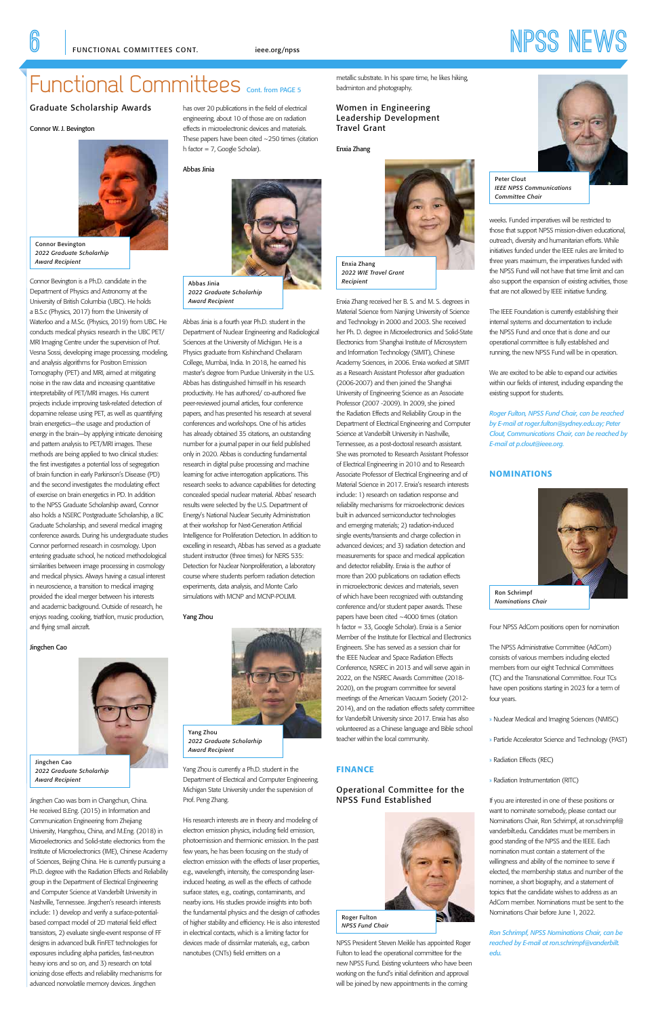# Functional Committees Cont. from PAGE 5

#### Graduate Scholarship Awards

#### Connor W. J. Bevington



Connor Bevington is a Ph.D. candidate in the Department of Physics and Astronomy at the University of British Columbia (UBC). He holds a B.S.c (Physics, 2017) from the University of Waterloo and a M.Sc. (Physics, 2019) from UBC. He conducts medical physics research in the UBC PET/ MRI Imaging Centre under the supervision of Prof. Vesna Sossi, developing image processing, modeling, and analysis algorithms for Positron Emission Tomography (PET) and MRI, aimed at mitigating noise in the raw data and increasing quantitative interpretability of PET/MRI images. His current projects include improving task-related detection of dopamine release using PET, as well as quantifying brain energetics—the usage and production of energy in the brain—by applying intricate denoising and pattern analysis to PET/MRI images. These methods are being applied to two clinical studies: the first investigates a potential loss of segregation of brain function in early Parkinson's Disease (PD) and the second investigates the modulating effect of exercise on brain energetics in PD. In addition to the NPSS Graduate Scholarship award, Connor also holds a NSERC Postgraduate Scholarship, a BC Graduate Scholarship, and several medical imaging conference awards. During his undergraduate studies Connor performed research in cosmology. Upon entering graduate school, he noticed methodological similarities between image processing in cosmology and medical physics. Always having a casual interest in neuroscience, a transition to medical imaging provided the ideal merger between his interests and academic background. Outside of research, he enjoys reading, cooking, triathlon, music production, and flying small aircraft.

#### Jingchen Cao



Jingchen Cao was born in Changchun, China. He received B.Eng. (2015) in Information and Communication Engineering from Zhejiang University, Hangzhou, China, and M.Eng. (2018) in Microelectronics and Solid-state electronics from the Institute of Microelectronics (IME), Chinese Academy of Sciences, Beijing China. He is currently pursuing a Ph.D. degree with the Radiation Effects and Reliability group in the Department of Electrical Engineering and Computer Science at Vanderbilt University in Nashville, Tennessee. Jingchen's research interests include: 1) develop and verify a surface-potentialbased compact model of 2D material field effect transistors, 2) evaluate single-event response of FF designs in advanced bulk FinFET technologies for exposures including alpha particles, fast-neutron heavy ions and so on, and 3) research on total ionizing dose effects and reliability mechanisms for advanced nonvolatile memory devices. Jingchen

has over 20 publications in the field of electrical engineering, about 10 of those are on radiation effects in microelectronic devices and materials. These papers have been cited ~250 times (citation h factor = 7, Google Scholar).

#### Abbas Jinia

Abbas Jinia is a fourth year Ph.D. student in the Department of Nuclear Engineering and Radiological Sciences at the University of Michigan. He is a Physics graduate from Kishinchand Chellaram College, Mumbai, India. In 2018, he earned his master's degree from Purdue University in the U.S. Abbas has distinguished himself in his research productivity. He has authored/ co-authored five peer-reviewed journal articles, four conference papers, and has presented his research at several conferences and workshops. One of his articles has already obtained 35 citations, an outstanding number for a journal paper in our field published only in 2020. Abbas is conducting fundamental research in digital pulse processing and machine learning for active interrogation applications. This research seeks to advance capabilities for detecting concealed special nuclear material. Abbas' research results were selected by the U.S. Department of Energy's National Nuclear Security Administration at their workshop for Next-Generation Artificial Intelligence for Proliferation Detection. In addition to excelling in research, Abbas has served as a graduate student instructor (three times) for NERS 535: Detection for Nuclear Nonproliferation, a laboratory course where students perform radiation detection experiments, data analysis, and Monte Carlo simulations with MCNP and MCNP-POLIMI.

> NPSS President Steven Meikle has appointed Roger Fulton to lead the operational committee for the new NPSS Fund. Existing volunteers who have been working on the fund's initial definition and approval will be joined by new appointments in the coming

Yang Zhou

Yang Zhou is currently a Ph.D. student in the Department of Electrical and Computer Engineering, Michigan State University under the supervision of Prof. Peng Zhang.

His research interests are in theory and modeling of electron emission physics, including field emission, photoemission and thermionic emission. In the past few years, he has been focusing on the study of electron emission with the effects of laser properties, e.g., wavelength, intensity, the corresponding laserinduced heating, as well as the effects of cathode surface states, e.g., coatings, contaminants, and nearby ions. His studies provide insights into both the fundamental physics and the design of cathodes of higher stability and efficiency. He is also interested in electrical contacts, which is a limiting factor for devices made of dissimilar materials, e.g., carbon nanotubes (CNTs) field emitters on a

metallic substrate. In his spare time, he likes hiking, badminton and photography.

Women in Engineering Leadership Development Travel Grant

Enxia Zhang



Enxia Zhang received her B. S. and M. S. degrees in Material Science from Nanjing University of Science and Technology in 2000 and 2003. She received her Ph. D. degree in Microelectronics and Solid-State Electronics from Shanghai Institute of Microsystem and Information Technology (SIMIT), Chinese Academy Sciences, in 2006. Enxia worked at SIMIT as a Research Assistant Professor after graduation (2006-2007) and then joined the Shanghai University of Engineering Science as an Associate Professor (2007 -2009). In 2009, she joined the Radiation Effects and Reliability Group in the Department of Electrical Engineering and Computer Science at Vanderbilt University in Nashville, Tennessee, as a post-doctoral research assistant. She was promoted to Research Assistant Professor of Electrical Engineering in 2010 and to Research Associate Professor of Electrical Engineering and of Material Science in 2017. Enxia's research interests include: 1) research on radiation response and reliability mechanisms for microelectronic devices built in advanced semiconductor technologies and emerging materials; 2) radiation-induced single events/transients and charge collection in advanced devices; and 3) radiation detection and measurements for space and medical application and detector reliability. Enxia is the author of more than 200 publications on radiation effects in microelectronic devices and materials, seven of which have been recognized with outstanding conference and/or student paper awards. These papers have been cited ~4000 times (citation h factor = 33, Google Scholar). Enxia is a Senior Member of the Institute for Electrical and Electronics Engineers. She has served as a session chair for the IEEE Nuclear and Space Radiation Effects Conference, NSREC in 2013 and will serve again in 2022, on the NSREC Awards Committee (2018- 2020), on the program committee for several meetings of the American Vacuum Society (2012- 2014), and on the radiation effects safety committee for Vanderbilt University since 2017. Enxia has also volunteered as a Chinese language and Bible school teacher within the local community.

### FINANCE

# Operational Committee for the NPSS Fund Established



weeks. Funded imperatives will be restricted to those that support NPSS mission-driven educational, outreach, diversity and humanitarian efforts. While initiatives funded under the IEEE rules are limited to three years maximum, the imperatives funded with the NPSS Fund will not have that time limit and can also support the expansion of existing activities, those that are not allowed by IEEE initiative funding.

The IEEE Foundation is currently establishing their internal systems and documentation to include the NPSS Fund and once that is done and our operational committee is fully established and running, the new NPSS Fund will be in operation.

We are excited to be able to expand our activities within our fields of interest, including expanding the existing support for students.

*Roger Fulton, NPSS Fund Chair, can be reached by E-mail at roger.fulton@sydney.edu.ay; Peter Clout, Communications Chair, can be reached by E-mail at p.clout@ieee.org.*

#### **NOMINATIONS**

Four NPSS AdCom positions open for nomination

The NPSS Administrative Committee (AdCom) consists of various members including elected members from our eight Technical Committees (TC) and the Transnational Committee. Four TCs have open positions starting in 2023 for a term of four years.

» Nuclear Medical and Imaging Sciences (NMISC)

» Particle Accelerator Science and Technology (PAST)

#### » Radiation Effects (REC)

#### » Radiation Instrumentation (RITC)

If you are interested in one of these positions or want to nominate somebody, please contact our Nominations Chair, Ron Schrimpf, at ron.schrimpf@ vanderbilt.edu. Candidates must be members in good standing of the NPSS and the IEEE. Each nomination must contain a statement of the willingness and ability of the nominee to serve if elected, the membership status and number of the nominee, a short biography, and a statement of topics that the candidate wishes to address as an AdCom member. Nominations must be sent to the Nominations Chair before June 1, 2022.

*Ron Schrimpf, NPSS Nominations Chair, can be reached by E-mail at ron.schrimpf@vanderbilt. edu.*

Connor Bevington *2022 Graduate Scholarhip Award Recipient* 

#### Jingchen Cao *2022 Graduate Scholarhip Award Recipient*



Abbas Jinia *2022 Graduate Scholarhip Award Recipient* 

Enxia Zhang *2022 WIE Travel Grant Recipient*



*2022 Graduate Scholarhip* 

#### *Award Recipient*

Roger Fulton *NPSS Fund Chair*



Peter Clout *IEEE NPSS Communications Committee Chair*

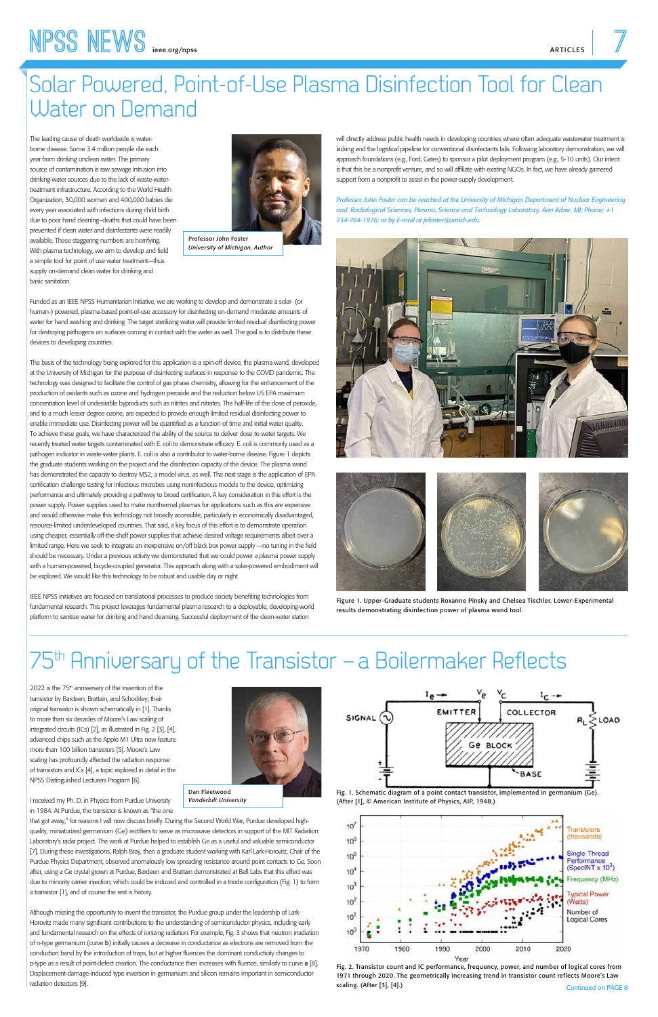# Solar Powered, Point-of-Use Plasma Disinfection Tool for Clean Water on Demand

The leading cause of death worldwide is waterborne disease. Some 3.4 million people die each year from drinking unclean water. The primary source of contamination is raw sewage intrusion into drinking-water sources due to the lack of waste-watertreatment infrastructure. According to the World Health Organization, 30,000 women and 400,000 babies die every year associated with infections during child birth due to poor hand cleaning--deaths that could have been prevented if clean water and disinfectants were readily available. These staggering numbers are horrifying. With plasma technology, we aim to develop and field a simple tool for point of use water treatment—thus supply on-demand clean water for drinking and basic sanitation.

Funded as an IEEE NPSS Humanitarian Initiative, we are working to develop and demonstrate a solar- (or human-) powered, plasma-based point-of-use accessory for disinfecting on-demand moderate amounts of water for hand washing and drinking. The target sterilizing water will provide limited residual disinfecting power for destroying pathogens on surfaces coming in contact with the water as well. The goal is to distribute these devices to developing countries.

The basis of the technology being explored for this application is a spin-off device, the plasma wand, developed at the University of Michigan for the purpose of disinfecting surfaces in response to the COVID pandemic. The technology was designed to facilitate the control of gas phase chemistry, allowing for the enhancement of the production of oxidants such as ozone and hydrogen peroxide and the reduction below US EPA maximum concentration level of undesirable byproducts such as nitrites and nitrates. The half-life of the dose of peroxide, and to a much lesser degree ozone, are expected to provide enough limited residual disinfecting power to enable immediate use. Disinfecting power will be quantified as a function of time and initial water quality. To achieve these goals, we have characterized the ability of the source to deliver dose to water targets. We recently treated water targets contaminated with E. coli to demonstrate efficacy. E. coli is commonly used as a pathogen indicator in waste-water plants. E. coli is also a contributor to water-borne disease. Figure 1 depicts the graduate students working on the project and the disinfection capacity of the device. The plasma wand has demonstrated the capacity to destroy MS2, a model virus, as well. The next stage is the application of EPA certification challenge testing for infectious microbes using noninfectious models to the device, optimizing performance and ultimately providing a pathway to broad certification. A key consideration in this effort is the power supply. Power supplies used to make nonthermal plasmas for applications such as this are expensive and would otherwise make this technology not broadly accessible, particularly in economically disadvantaged, resource-limited underdeveloped countries. That said, a key focus of this effort is to demonstrate operation using cheaper, essentially off-the-shelf power supplies that achieve desired voltage requirements albeit over a limited range. Here we seek to integrate an inexpensive on/off black box power supply —no tuning in the field should be necessary. Under a previous activity we demonstrated that we could power a plasma power supply with a human-powered, bicycle-coupled generator. This approach along with a solar-powered embodiment will be explored. We would like this technology to be robust and usable day or night.

2022 is the 75<sup>th</sup> anniversary of the invention of the transistor by Bardeen, Brattain, and Schockley; their original transistor is shown schematically in [1]. Thanks to more than six decades of Moore's Law scaling of integrated circuits (ICs) [2], as illustrated in Fig. 2 [3], [4], advanced chips such as the Apple M1 Ultra now feature more than 100 billion transistors [5]. Moore's Law scaling has profoundly affected the radiation response of transistors and ICs [4], a topic explored in detail in the NPSS Distinguished Lecturers Program [6].





Continued on PAGE 8 Fig. 2. Transistor count and IC performance, frequency, power, and number of logical cores from 1971 through 2020. The geometrically increasing trend in transistor count reflects Moore's Law scaling. (After [3], [4].)

IEEE NPSS initiatives are focused on translational processes to produce society benefiting technologies from fundamental research. This project leverages fundamental plasma research to a deployable, developing-world platform to sanitize water for drinking and hand cleansing. Successful deployment of the clean-water station

will directly address public health needs in developing countries where often adequate wastewater treatment is lacking and the logistical pipeline for conventional disinfectants fails. Following laboratory demonstration, we will approach foundations (e.g., Ford, Gates) to sponsor a pilot deployment program (e.g., 5-10 units). Our intent is that this be a nonprofit venture, and so will affiliate with existing NGOs. In fact, we have already garnered support from a nonprofit to assist in the power-supply development.

*Professor John Foster can be reached at the University of Michigan Department of Nuclear Engineering and. Radiological Sciences, Plasma. Science and Technology Laboratory, Ann Arbor, MI; Phone: +1 734-764-1976; or by E-mail at jefoster@umich.edu.*









Professor John Foster *University of Michigan, Author*



Figure 1. Upper-Graduate students Roxanne Pinsky and Chelsea Tischler. Lower-Experimental results demonstrating disinfection power of plasma wand tool.

# 75<sup>th</sup> Anniversary of the Transistor - a Boilermaker Reflects

I received my Ph. D. in Physics from Purdue University in 1984. At Purdue, the transistor is known as "the one

that got away," for reasons I will now discuss briefly. During the Second World War, Purdue developed highquality, miniaturized germanium (Ge) rectifiers to serve as microwave detectors in support of the MIT Radiation Laboratory's radar project. The work at Purdue helped to establish Ge as a useful and valuable semiconductor [7]. During these investigations, Ralph Bray, then a graduate student working with Karl Lark-Horovitz, Chair of the Purdue Physics Department, observed anomalously low spreading resistance around point contacts to Ge. Soon after, using a Ge crystal grown at Purdue, Bardeen and Brattain demonstrated at Bell Labs that this effect was due to minority carrier injection, which could be induced and controlled in a triode configuration (Fig. 1) to form a transistor [1], and of course the rest is history.

Although missing the opportunity to invent the transistor, the Purdue group under the leadership of Lark-Horovitz made many significant contributions to the understanding of semiconductor physics, including early and fundamental research on the effects of ionizing radiation. For example, Fig. 3 shows that neutron irradiation of n-type germanium (curve b) initially causes a decrease in conductance as electrons are removed from the conduction band by the introduction of traps, but at higher fluences the dominant conductivity changes to p-type as a result of point-defect creation. The conductance then increases with fluence, similarly to curve a [8]. Displacement-damage-induced type inversion in germanium and silicon remains important in semiconductor radiation detectors [9].

#### Dan Fleetwood *Vanderbilt University*